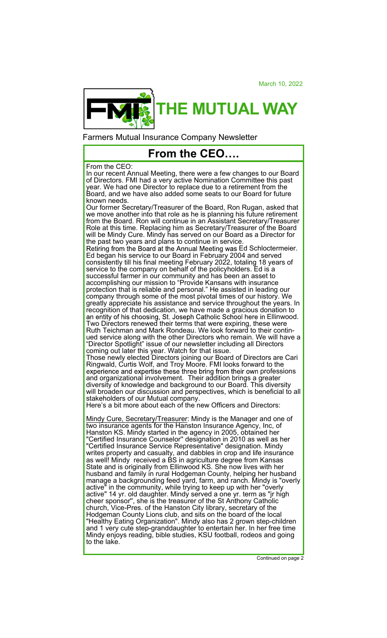March 10, 2022



Farmers Mutual Insurance Company Newsletter

## **From the CEO….**

## From the CEO:

In our recent Annual Meeting, there were a few changes to our Board of Directors. FMI had a very active Nomination Committee this past year. We had one Director to replace due to a retirement from the Board, and we have also added some seats to our Board for future known needs.

Our former Secretary/Treasurer of the Board, Ron Rugan, asked that we move another into that role as he is planning his future retirement from the Board. Ron will continue in an Assistant Secretary/Treasurer Role at this time. Replacing him as Secretary/Treasurer of the Board will be Mindy Cure. Mindy has served on our Board as a Director for the past two years and plans to continue in service.

Retiring from the Board at the Annual Meeting was Ed Schloctermeier. Ed began his service to our Board in February 2004 and served consistently till his final meeting February 2022, totaling 18 years of service to the company on behalf of the policyholders. Ed is a successful farmer in our community and has been an asset to accomplishing our mission to "Provide Kansans with insurance protection that is reliable and personal." He assisted in leading our company through some of the most pivotal times of our history. We greatly appreciate his assistance and service throughout the years. In recognition of that dedication, we have made a gracious donation to Ellinwood. Two Directors renewed their terms that were expiring, these were Ruth Teichman and Mark Rondeau. We look forward to their continued service along with the other Directors who remain. We will have a "Director Spotlight" issue of our newsletter including all Directors coming out later this year. Watch for that issue. Those newly elected Directors joining our Board of Directors are Cari Ringwald, Curtis Wolf, and Troy Moore. FMI looks forward to the professions and organizational involvement. Their addition brings a greater diversity of knowledge and background to our Board. This diversity will broaden our discussion and perspectives, which is beneficial to all stakeholders of our Mutual company.

Here's a bit more about each of the new Officers and Directors:

Mindy Cure, Secretary/Treasurer: Mindy is the Manager and one of two insurance agents for the Hanston Insurance Agency, Inc, of Hanston KS. Mindy started in the agency in 2005, obtained her "Certified Insurance Counselor'' designation in 2010 as well as her "Certified Insurance Service Representative" designation. Mindy writes property and casualty, and dabbles in crop and life insurance as well! Mindy received a BS in agriculture degree from Kansas State and is originally from Ellinwood KS. She now lives with her husband and family in rural Hodgeman County, helping her husband manage a backgrounding feed yard, farm, and ranch. Mindy is "overly active" in the community, while trying to keep up with her "overly active" 14 yr. old daughter. Mindy served a one yr. term as "jr high cheer sponsor'', she is the treasurer of the St Anthony Catholic church, Vice-Pres. of the Hanston City library, secretary of the Hodgeman County Lions club, and sits on the board of the local "Healthy Eating Organization". Mindy also has 2 grown step-children and 1 very cute step-granddaughter to entertain her. In her free time Mindy enjoys reading, bible studies, KSU football, rodeos and going to the lake.

Continued on page 2